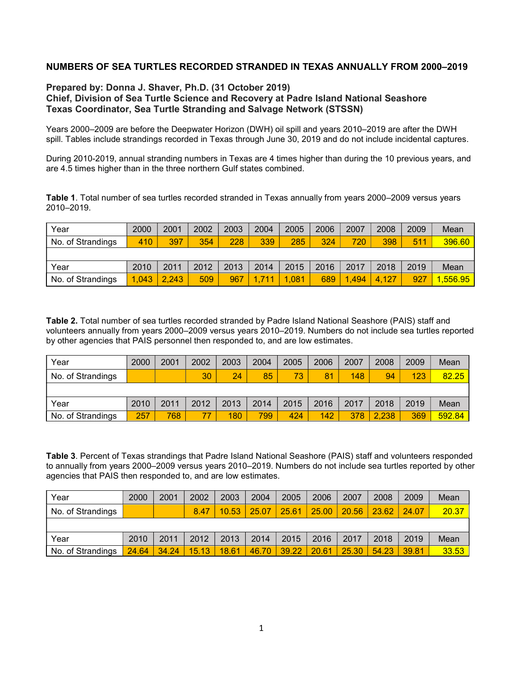## NUMBERS OF SEA TURTLES RECORDED STRANDED IN TEXAS ANNUALLY FROM 2000–2019

## Prepared by: Donna J. Shaver, Ph.D. (31 October 2019) Chief, Division of Sea Turtle Science and Recovery at Padre Island National Seashore Texas Coordinator, Sea Turtle Stranding and Salvage Network (STSSN)

Years 2000–2009 are before the Deepwater Horizon (DWH) oil spill and years 2010–2019 are after the DWH spill. Tables include strandings recorded in Texas through June 30, 2019 and do not include incidental captures.

During 2010-2019, annual stranding numbers in Texas are 4 times higher than during the 10 previous years, and are 4.5 times higher than in the three northern Gulf states combined.

Table 1. Total number of sea turtles recorded stranded in Texas annually from years 2000–2009 versus years 2010–2019.

| Year              | 2000  | 2001  | 2002 | 2003 | 2004 | 2005  | 2006 | 2007  | 2008  | 2009 | Mean    |
|-------------------|-------|-------|------|------|------|-------|------|-------|-------|------|---------|
| No. of Strandings | 410   | 397   | 354  | 228  | 339  | 285   | 324  | 720   | 398   | 511  | 396.60  |
|                   |       |       |      |      |      |       |      |       |       |      |         |
| Year              | 2010  | 2011  | 2012 | 2013 | 2014 | 2015  | 2016 | 2017  | 2018  | 2019 | Mean    |
| No. of Strandings | 1.043 | 2.243 | 509  | 967  | .711 | 1,081 | 689  | 1,494 | 4,127 | 927  | ,556.95 |

Table 2. Total number of sea turtles recorded stranded by Padre Island National Seashore (PAIS) staff and volunteers annually from years 2000–2009 versus years 2010–2019. Numbers do not include sea turtles reported by other agencies that PAIS personnel then responded to, and are low estimates.

| Year              | 2000 | 2001 | 2002 | 2003 | 2004 | 2005 | 2006 | 2007 | 2008  | 2009 | Mean   |
|-------------------|------|------|------|------|------|------|------|------|-------|------|--------|
| No. of Strandings |      |      | 30   | 24   | 85   | 73   | 81   | 148  | 94    | 123  | 82.25  |
|                   |      |      |      |      |      |      |      |      |       |      |        |
| Year              | 2010 | 2011 | 2012 | 2013 | 2014 | 2015 | 2016 | 2017 | 2018  | 2019 | Mean   |
| No. of Strandings | 257  | 768  |      | 180  | 799  | 424  | 142  | 378  | 2,238 | 369  | 592.84 |

Table 3. Percent of Texas strandings that Padre Island National Seashore (PAIS) staff and volunteers responded to annually from years 2000–2009 versus years 2010–2019. Numbers do not include sea turtles reported by other agencies that PAIS then responded to, and are low estimates.

| Year              | 2000  | 2001  | 2002  | 2003  | 2004  | 2005  | 2006  | 2007  | 2008  | 2009  | Mean  |
|-------------------|-------|-------|-------|-------|-------|-------|-------|-------|-------|-------|-------|
| No. of Strandings |       |       | 8.47  | 10.53 | 25.07 | 25.61 | 25.00 | 20.56 | 23.62 | 24.07 | 20.37 |
|                   |       |       |       |       |       |       |       |       |       |       |       |
| Year              | 2010  | 2011  | 2012  | 2013  | 2014  | 2015  | 2016  | 2017  | 2018  | 2019  | Mean  |
| No. of Strandings | 24.64 | 34.24 | 15.13 | 18.61 | 46.70 | 39.22 | 20.61 | 25.30 | 54.23 | 39.81 | 33.53 |